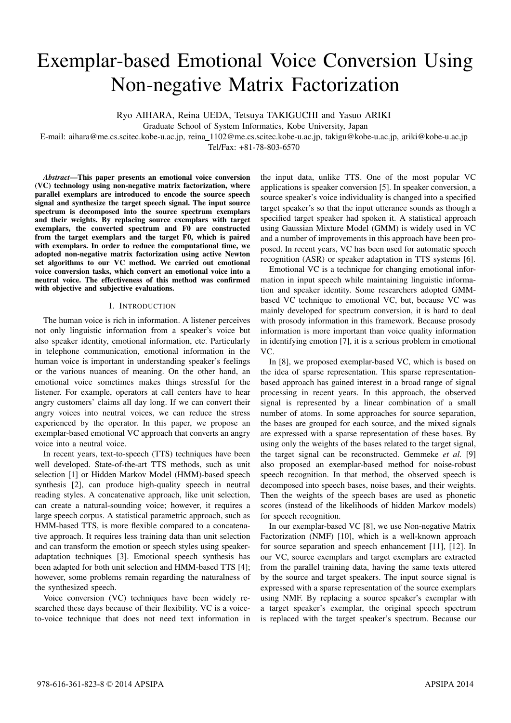# Exemplar-based Emotional Voice Conversion Using Non-negative Matrix Factorization

Ryo AIHARA, Reina UEDA, Tetsuya TAKIGUCHI and Yasuo ARIKI

Graduate School of System Informatics, Kobe University, Japan

E-mail: aihara@me.cs.scitec.kobe-u.ac.jp, reina 1102@me.cs.scitec.kobe-u.ac.jp, takigu@kobe-u.ac.jp, ariki@kobe-u.ac.jp

Tel/Fax: +81-78-803-6570

*Abstract*—This paper presents an emotional voice conversion (VC) technology using non-negative matrix factorization, where parallel exemplars are introduced to encode the source speech signal and synthesize the target speech signal. The input source spectrum is decomposed into the source spectrum exemplars and their weights. By replacing source exemplars with target exemplars, the converted spectrum and F0 are constructed from the target exemplars and the target F0, which is paired with exemplars. In order to reduce the computational time, we adopted non-negative matrix factorization using active Newton set algorithms to our VC method. We carried out emotional voice conversion tasks, which convert an emotional voice into a neutral voice. The effectiveness of this method was confirmed with objective and subjective evaluations.

# I. INTRODUCTION

The human voice is rich in information. A listener perceives not only linguistic information from a speaker's voice but also speaker identity, emotional information, etc. Particularly in telephone communication, emotional information in the human voice is important in understanding speaker's feelings or the various nuances of meaning. On the other hand, an emotional voice sometimes makes things stressful for the listener. For example, operators at call centers have to hear angry customers' claims all day long. If we can convert their angry voices into neutral voices, we can reduce the stress experienced by the operator. In this paper, we propose an exemplar-based emotional VC approach that converts an angry voice into a neutral voice.

In recent years, text-to-speech (TTS) techniques have been well developed. State-of-the-art TTS methods, such as unit selection [1] or Hidden Markov Model (HMM)-based speech synthesis [2], can produce high-quality speech in neutral reading styles. A concatenative approach, like unit selection, can create a natural-sounding voice; however, it requires a large speech corpus. A statistical parametric approach, such as HMM-based TTS, is more flexible compared to a concatenative approach. It requires less training data than unit selection and can transform the emotion or speech styles using speakeradaptation techniques [3]. Emotional speech synthesis has been adapted for both unit selection and HMM-based TTS [4]; however, some problems remain regarding the naturalness of the synthesized speech.

Voice conversion (VC) techniques have been widely researched these days because of their flexibility. VC is a voiceto-voice technique that does not need text information in the input data, unlike TTS. One of the most popular VC applications is speaker conversion [5]. In speaker conversion, a source speaker's voice individuality is changed into a specified target speaker's so that the input utterance sounds as though a specified target speaker had spoken it. A statistical approach using Gaussian Mixture Model (GMM) is widely used in VC and a number of improvements in this approach have been proposed. In recent years, VC has been used for automatic speech recognition (ASR) or speaker adaptation in TTS systems [6].

Emotional VC is a technique for changing emotional information in input speech while maintaining linguistic information and speaker identity. Some researchers adopted GMMbased VC technique to emotional VC, but, because VC was mainly developed for spectrum conversion, it is hard to deal with prosody information in this framework. Because prosody information is more important than voice quality information in identifying emotion [7], it is a serious problem in emotional VC.

In [8], we proposed exemplar-based VC, which is based on the idea of sparse representation. This sparse representationbased approach has gained interest in a broad range of signal processing in recent years. In this approach, the observed signal is represented by a linear combination of a small number of atoms. In some approaches for source separation, the bases are grouped for each source, and the mixed signals are expressed with a sparse representation of these bases. By using only the weights of the bases related to the target signal, the target signal can be reconstructed. Gemmeke *et al.* [9] also proposed an exemplar-based method for noise-robust speech recognition. In that method, the observed speech is decomposed into speech bases, noise bases, and their weights. Then the weights of the speech bases are used as phonetic scores (instead of the likelihoods of hidden Markov models) for speech recognition.

In our exemplar-based VC [8], we use Non-negative Matrix Factorization (NMF) [10], which is a well-known approach for source separation and speech enhancement [11], [12]. In our VC, source exemplars and target exemplars are extracted from the parallel training data, having the same texts uttered by the source and target speakers. The input source signal is expressed with a sparse representation of the source exemplars using NMF. By replacing a source speaker's exemplar with a target speaker's exemplar, the original speech spectrum is replaced with the target speaker's spectrum. Because our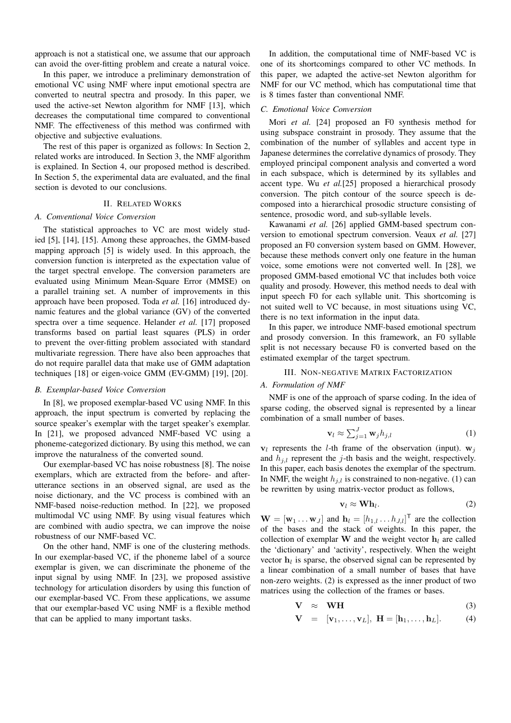approach is not a statistical one, we assume that our approach can avoid the over-fitting problem and create a natural voice.

In this paper, we introduce a preliminary demonstration of emotional VC using NMF where input emotional spectra are converted to neutral spectra and prosody. In this paper, we used the active-set Newton algorithm for NMF [13], which decreases the computational time compared to conventional NMF. The effectiveness of this method was confirmed with objective and subjective evaluations.

The rest of this paper is organized as follows: In Section 2, related works are introduced. In Section 3, the NMF algorithm is explained. In Section 4, our proposed method is described. In Section 5, the experimental data are evaluated, and the final section is devoted to our conclusions.

# II. RELATED WORKS

#### *A. Conventional Voice Conversion*

The statistical approaches to VC are most widely studied [5], [14], [15]. Among these approaches, the GMM-based mapping approach [5] is widely used. In this approach, the conversion function is interpreted as the expectation value of the target spectral envelope. The conversion parameters are evaluated using Minimum Mean-Square Error (MMSE) on a parallel training set. A number of improvements in this approach have been proposed. Toda *et al.* [16] introduced dynamic features and the global variance (GV) of the converted spectra over a time sequence. Helander *et al.* [17] proposed transforms based on partial least squares (PLS) in order to prevent the over-fitting problem associated with standard multivariate regression. There have also been approaches that do not require parallel data that make use of GMM adaptation techniques [18] or eigen-voice GMM (EV-GMM) [19], [20].

# *B. Exemplar-based Voice Conversion*

In [8], we proposed exemplar-based VC using NMF. In this approach, the input spectrum is converted by replacing the source speaker's exemplar with the target speaker's exemplar. In [21], we proposed advanced NMF-based VC using a phoneme-categorized dictionary. By using this method, we can improve the naturalness of the converted sound.

Our exemplar-based VC has noise robustness [8]. The noise exemplars, which are extracted from the before- and afterutterance sections in an observed signal, are used as the noise dictionary, and the VC process is combined with an NMF-based noise-reduction method. In [22], we proposed multimodal VC using NMF. By using visual features which are combined with audio spectra, we can improve the noise robustness of our NMF-based VC.

On the other hand, NMF is one of the clustering methods. In our exemplar-based VC, if the phoneme label of a source exemplar is given, we can discriminate the phoneme of the input signal by using NMF. In [23], we proposed assistive technology for articulation disorders by using this function of our exemplar-based VC. From these applications, we assume that our exemplar-based VC using NMF is a flexible method that can be applied to many important tasks.

In addition, the computational time of NMF-based VC is one of its shortcomings compared to other VC methods. In this paper, we adapted the active-set Newton algorithm for NMF for our VC method, which has computational time that is 8 times faster than conventional NMF.

## *C. Emotional Voice Conversion*

Mori *et al.* [24] proposed an F0 synthesis method for using subspace constraint in prosody. They assume that the combination of the number of syllables and accent type in Japanese determines the correlative dynamics of prosody. They employed principal component analysis and converted a word in each subspace, which is determined by its syllables and accent type. Wu *et al.*[25] proposed a hierarchical prosody conversion. The pitch contour of the source speech is decomposed into a hierarchical prosodic structure consisting of sentence, prosodic word, and sub-syllable levels.

Kawanami *et al.* [26] applied GMM-based spectrum conversion to emotional spectrum conversion. Veaux *et al.* [27] proposed an F0 conversion system based on GMM. However, because these methods convert only one feature in the human voice, some emotions were not converted well. In [28], we proposed GMM-based emotional VC that includes both voice quality and prosody. However, this method needs to deal with input speech F0 for each syllable unit. This shortcoming is not suited well to VC because, in most situations using VC, there is no text information in the input data.

In this paper, we introduce NMF-based emotional spectrum and prosody conversion. In this framework, an F0 syllable split is not necessary because F0 is converted based on the estimated exemplar of the target spectrum.

# III. NON-NEGATIVE MATRIX FACTORIZATION

#### *A. Formulation of NMF*

NMF is one of the approach of sparse coding. In the idea of sparse coding, the observed signal is represented by a linear combination of a small number of bases.

$$
\mathbf{v}_l \approx \sum_{j=1}^J \mathbf{w}_j h_{j,l} \tag{1}
$$

 $v_l$  represents the *l*-th frame of the observation (input).  $w_j$ and  $h_{j,l}$  represent the *j*-th basis and the weight, respectively. In this paper, each basis denotes the exemplar of the spectrum. In NMF, the weight  $h_{i,l}$  is constrained to non-negative. (1) can be rewritten by using matrix-vector product as follows,

$$
\mathbf{v}_l \approx \mathbf{W} \mathbf{h}_l. \tag{2}
$$

 $\mathbf{W} = [\mathbf{w}_1 \dots \mathbf{w}_J]$  and  $\mathbf{h}_l = [h_{1,l} \dots h_{J,l}]^T$  are the collection of the bases and the stack of weights. In this paper, the collection of exemplar **W** and the weight vector  $h_l$  are called the 'dictionary' and 'activity', respectively. When the weight vector  $\mathbf{h}_l$  is sparse, the observed signal can be represented by a linear combination of a small number of bases that have non-zero weights. (2) is expressed as the inner product of two matrices using the collection of the frames or bases.

$$
\mathbf{V} \quad \approx \quad \mathbf{WH} \tag{3}
$$

$$
\mathbf{V} = [\mathbf{v}_1, \dots, \mathbf{v}_L], \ \mathbf{H} = [\mathbf{h}_1, \dots, \mathbf{h}_L]. \tag{4}
$$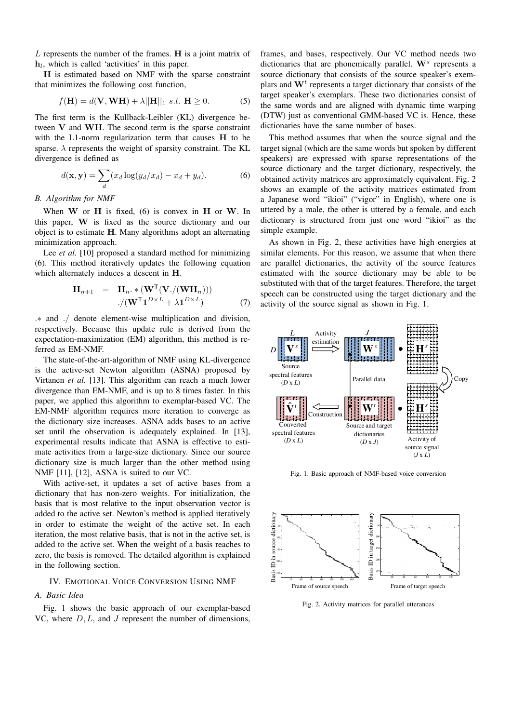*L* represents the number of the frames. **H** is a joint matrix of **h***l* , which is called 'activities' in this paper.

**H** is estimated based on NMF with the sparse constraint that minimizes the following cost function,

$$
f(\mathbf{H}) = d(\mathbf{V}, \mathbf{W}\mathbf{H}) + \lambda ||\mathbf{H}||_1 \ s.t. \ \mathbf{H} \ge 0.
$$
 (5)

The first term is the Kullback-Leibler (KL) divergence between **V** and **WH**. The second term is the sparse constraint with the L1-norm regularization term that causes **H** to be sparse.  $\lambda$  represents the weight of sparsity constraint. The KL divergence is defined as

$$
d(\mathbf{x}, \mathbf{y}) = \sum_{d} (x_d \log(y_d/x_d) - x_d + y_d). \tag{6}
$$

# *B. Algorithm for NMF*

When **W** or **H** is fixed, (6) is convex in **H** or **W**. In this paper, **W** is fixed as the source dictionary and our object is to estimate **H**. Many algorithms adopt an alternating minimization approach.

Lee *et al.* [10] proposed a standard method for minimizing (6). This method iteratively updates the following equation which alternately induces a descent in **H**.

$$
\mathbf{H}_{n+1} = \mathbf{H}_n \cdot * (\mathbf{W}^{\mathsf{T}}(\mathbf{V}./(\mathbf{W}\mathbf{H}_n)))
$$

$$
./(\mathbf{W}^{\mathsf{T}}\mathbf{1}^{D \times L} + \lambda \mathbf{1}^{D \times L})
$$
(7)

*.∗* and *./* denote element-wise multiplication and division, respectively. Because this update rule is derived from the expectation-maximization (EM) algorithm, this method is referred as EM-NMF.

The state-of-the-art-algorithm of NMF using KL-divergence is the active-set Newton algorithm (ASNA) proposed by Virtanen *et al.* [13]. This algorithm can reach a much lower divergence than EM-NMF, and is up to 8 times faster. In this paper, we applied this algorithm to exemplar-based VC. The EM-NMF algorithm requires more iteration to converge as the dictionary size increases. ASNA adds bases to an active set until the observation is adequately explained. In [13], experimental results indicate that ASNA is effective to estimate activities from a large-size dictionary. Since our source dictionary size is much larger than the other method using NMF [11], [12], ASNA is suited to our VC.

With active-set, it updates a set of active bases from a dictionary that has non-zero weights. For initialization, the basis that is most relative to the input observation vector is added to the active set. Newton's method is applied iteratively in order to estimate the weight of the active set. In each iteration, the most relative basis, that is not in the active set, is added to the active set. When the weight of a basis reaches to zero, the basis is removed. The detailed algorithm is explained in the following section.

# IV. EMOTIONAL VOICE CONVERSION USING NMF

# *A. Basic Idea*

Fig. 1 shows the basic approach of our exemplar-based VC, where *D, L,* and *J* represent the number of dimensions,

frames, and bases, respectively. Our VC method needs two dictionaries that are phonemically parallel. **W***<sup>s</sup>* represents a source dictionary that consists of the source speaker's exemplars and **W***<sup>t</sup>* represents a target dictionary that consists of the target speaker's exemplars. These two dictionaries consist of the same words and are aligned with dynamic time warping (DTW) just as conventional GMM-based VC is. Hence, these dictionaries have the same number of bases.

This method assumes that when the source signal and the target signal (which are the same words but spoken by different speakers) are expressed with sparse representations of the source dictionary and the target dictionary, respectively, the obtained activity matrices are approximately equivalent. Fig. 2 shows an example of the activity matrices estimated from a Japanese word "ikioi" ("vigor" in English), where one is uttered by a male, the other is uttered by a female, and each dictionary is structured from just one word "ikioi" as the simple example.

As shown in Fig. 2, these activities have high energies at similar elements. For this reason, we assume that when there are parallel dictionaries, the activity of the source features estimated with the source dictionary may be able to be substituted with that of the target features. Therefore, the target speech can be constructed using the target dictionary and the activity of the source signal as shown in Fig. 1.



Fig. 1. Basic approach of NMF-based voice conversion



Fig. 2. Activity matrices for parallel utterances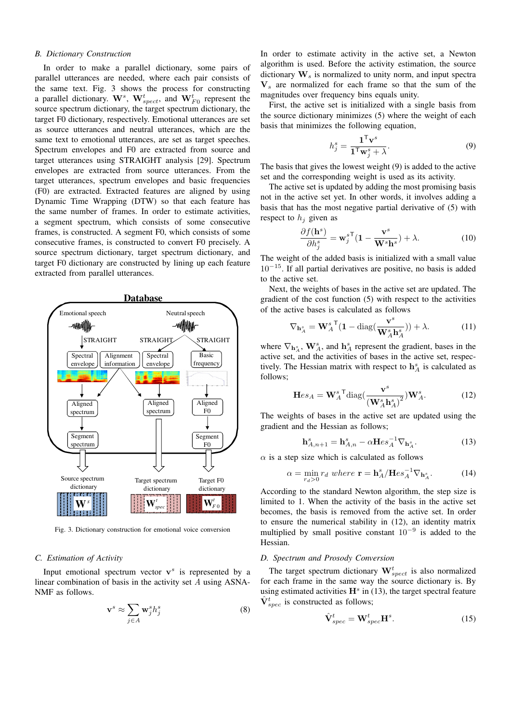# *B. Dictionary Construction*

In order to make a parallel dictionary, some pairs of parallel utterances are needed, where each pair consists of the same text. Fig. 3 shows the process for constructing a parallel dictionary.  $\mathbf{W}^s$ ,  $\mathbf{W}^t_{spect}$ , and  $\mathbf{W}^t_{F0}$  represent the source spectrum dictionary, the target spectrum dictionary, the target F0 dictionary, respectively. Emotional utterances are set as source utterances and neutral utterances, which are the same text to emotional utterances, are set as target speeches. Spectrum envelopes and F0 are extracted from source and target utterances using STRAIGHT analysis [29]. Spectrum envelopes are extracted from source utterances. From the target utterances, spectrum envelopes and basic frequencies (F0) are extracted. Extracted features are aligned by using Dynamic Time Wrapping (DTW) so that each feature has the same number of frames. In order to estimate activities, a segment spectrum, which consists of some consecutive frames, is constructed. A segment F0, which consists of some consecutive frames, is constructed to convert F0 precisely. A source spectrum dictionary, target spectrum dictionary, and target F0 dictionary are constructed by lining up each feature extracted from parallel utterances.



Fig. 3. Dictionary construction for emotional voice conversion

# *C. Estimation of Activity*

Input emotional spectrum vector  $v^s$  is represented by a linear combination of basis in the activity set *A* using ASNA-NMF as follows.

$$
\mathbf{v}^s \approx \sum_{j \in A} \mathbf{w}_j^s h_j^s \tag{8}
$$

In order to estimate activity in the active set, a Newton algorithm is used. Before the activity estimation, the source dictionary **W***<sup>s</sup>* is normalized to unity norm, and input spectra **V***<sup>s</sup>* are normalized for each frame so that the sum of the magnitudes over frequency bins equals unity.

First, the active set is initialized with a single basis from the source dictionary minimizes (5) where the weight of each basis that minimizes the following equation,

$$
h_j^s = \frac{\mathbf{1}^\mathsf{T} \mathbf{v}^s}{\mathbf{1}^\mathsf{T} \mathbf{w}_j^s + \lambda}.
$$
 (9)

The basis that gives the lowest weight (9) is added to the active set and the corresponding weight is used as its activity.

The active set is updated by adding the most promising basis not in the active set yet. In other words, it involves adding a basis that has the most negative partial derivative of (5) with respect to  $h_j$  given as

$$
\frac{\partial f(\mathbf{h}^s)}{\partial h_j^s} = \mathbf{w}_j^{s\mathsf{T}} (1 - \frac{\mathbf{v}^s}{\mathbf{W}^s \mathbf{h}^s}) + \lambda.
$$
 (10)

The weight of the added basis is initialized with a small value 10*−*<sup>15</sup>. If all partial derivatives are positive, no basis is added to the active set.

Next, the weights of bases in the active set are updated. The gradient of the cost function (5) with respect to the activities of the active bases is calculated as follows

$$
\nabla_{\mathbf{h}_A^s} = \mathbf{W}_A^s \mathbf{I} \left( \mathbf{1} - \text{diag}(\frac{\mathbf{v}^s}{\mathbf{W}_A^s \mathbf{h}_A^s}) \right) + \lambda. \tag{11}
$$

where  $\nabla_{\mathbf{h}^s_A}$ ,  $\mathbf{W}^s_A$ , and  $\mathbf{h}^s_A$  represent the gradient, bases in the active set, and the activities of bases in the active set, respectively. The Hessian matrix with respect to  $h_A^s$  is calculated as follows;

$$
\mathbf{H}es_A = \mathbf{W}_A^s \mathbf{I} \text{diag}\left(\frac{\mathbf{v}^s}{\left(\mathbf{W}_A^s \mathbf{h}_A^s\right)^2}\right) \mathbf{W}_A^s. \tag{12}
$$

The weights of bases in the active set are updated using the gradient and the Hessian as follows;

$$
\mathbf{h}_{A,n+1}^{s} = \mathbf{h}_{A,n}^{s} - \alpha \mathbf{H} e s_A^{-1} \nabla_{\mathbf{h}_A^s}.
$$
 (13)

 $\alpha$  is a step size which is calculated as follows

$$
\alpha = \min_{r_d>0} r_d \text{ where } \mathbf{r} = \mathbf{h}_A^s / \mathbf{H} e s_A^{-1} \nabla_{\mathbf{h}_A^s}.
$$
 (14)

According to the standard Newton algorithm, the step size is limited to 1. When the activity of the basis in the active set becomes, the basis is removed from the active set. In order to ensure the numerical stability in (12), an identity matrix multiplied by small positive constant 10*−*<sup>9</sup> is added to the Hessian.

# *D. Spectrum and Prosody Conversion*

The target spectrum dictionary  $\mathbf{W}_{spect}^{t}$  is also normalized for each frame in the same way the source dictionary is. By using estimated activities  $H^s$  in (13), the target spectral feature  $\hat{\mathbf{V}}_{spec}^{t}$  is constructed as follows;

$$
\hat{\mathbf{V}}_{spec}^t = \mathbf{W}_{spec}^t \mathbf{H}^s. \tag{15}
$$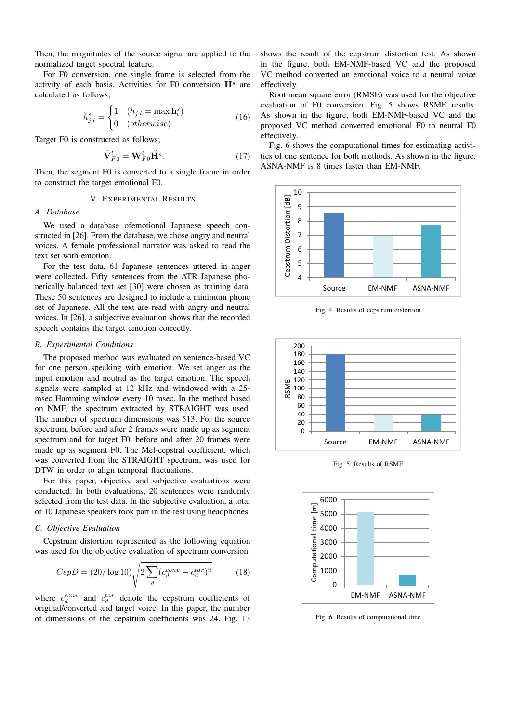Then, the magnitudes of the source signal are applied to the normalized target spectral feature.

For F0 conversion, one single frame is selected from the activity of each basis. Activities for F0 conversion  $\mathbf{H}^s$  are calculated as follows;

$$
\hat{h}_{j,l}^{s} = \begin{cases}\n1 & (h_{j,l} = \max \mathbf{h}_l^{s}) \\
0 & (otherwise)\n\end{cases}
$$
\n(16)

Target F0 is constructed as follows;

$$
\hat{\mathbf{V}}_{F0}^t = \mathbf{W}_{F0}^t \hat{\mathbf{H}}^s. \tag{17}
$$

Then, the segment F0 is converted to a single frame in order to construct the target emotional F0.

#### V. EXPERIMENTAL RESULTS

# *A. Database*

We used a database ofemotional Japanese speech constructed in [26]. From the database, we chose angry and neutral voices. A female professional narrator was asked to read the text set with emotion.

For the test data, 61 Japanese sentences uttered in anger were collected. Fifty sentences from the ATR Japanese phonetically balanced text set [30] were chosen as training data. These 50 sentences are designed to include a minimum phone set of Japanese. All the text are read with angry and neutral voices. In [26], a subjective evaluation shows that the recorded speech contains the target emotion correctly.

# *B. Experimental Conditions*

The proposed method was evaluated on sentence-based VC for one person speaking with emotion. We set anger as the input emotion and neutral as the target emotion. The speech signals were sampled at 12 kHz and windowed with a 25 msec Hamming window every 10 msec. In the method based on NMF, the spectrum extracted by STRAIGHT was used. The number of spectrum dimensions was 513. For the source spectrum, before and after 2 frames were made up as segment spectrum and for target F0, before and after 20 frames were made up as segment F0. The Mel-cepstral coefficient, which was converted from the STRAIGHT spectrum, was used for DTW in order to align temporal fluctuations.

For this paper, objective and subjective evaluations were conducted. In both evaluations, 20 sentences were randomly selected from the test data. In the subjective evaluation, a total of 10 Japanese speakers took part in the test using headphones.

# *C. Objective Evaluation*

Cepstrum distortion represented as the following equation was used for the objective evaluation of spectrum conversion.

$$
CepD = (20/\log 10)\sqrt{2\sum_{d}(c_d^{conv} - c_d^{tar})^2}
$$
 (18)

where  $c_d^{conv}$  and  $c_d^{tar}$  denote the cepstrum coefficients of original/converted and target voice. In this paper, the number of dimensions of the cepstrum coefficients was 24. Fig. 13

shows the result of the cepstrum distortion test. As shown in the figure, both EM-NMF-based VC and the proposed VC method converted an emotional voice to a neutral voice effectively.

Root mean square error (RMSE) was used for the objective evaluation of F0 conversion. Fig. 5 shows RSME results. As shown in the figure, both EM-NMF-based VC and the proposed VC method converted emotional F0 to neutral F0 effectively.

Fig. 6 shows the computational times for estimating activities of one sentence for both methods. As shown in the figure, ASNA-NMF is 8 times faster than EM-NMF.



Fig. 4. Results of cepstrum distortion



Fig. 5. Results of RSME



Fig. 6. Results of computational time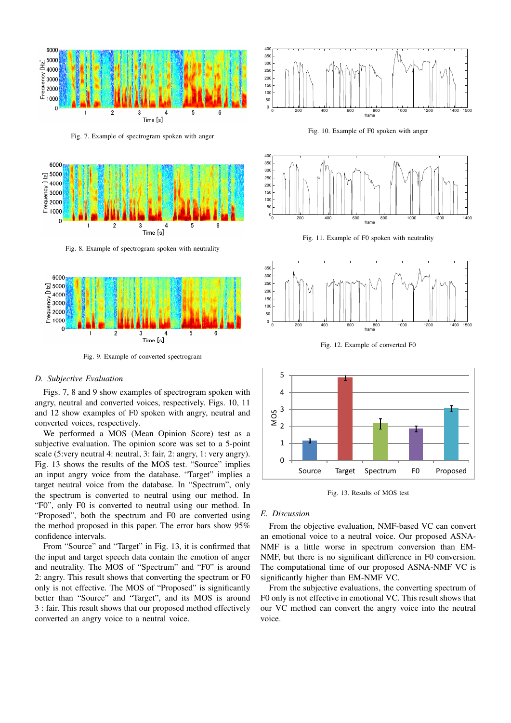

Fig. 7. Example of spectrogram spoken with anger



Fig. 8. Example of spectrogram spoken with neutrality



Fig. 9. Example of converted spectrogram

# *D. Subjective Evaluation*

Figs. 7, 8 and 9 show examples of spectrogram spoken with angry, neutral and converted voices, respectively. Figs. 10, 11 and 12 show examples of F0 spoken with angry, neutral and converted voices, respectively.

We performed a MOS (Mean Opinion Score) test as a subjective evaluation. The opinion score was set to a 5-point scale (5:very neutral 4: neutral, 3: fair, 2: angry, 1: very angry). Fig. 13 shows the results of the MOS test. "Source" implies an input angry voice from the database. "Target" implies a target neutral voice from the database. In "Spectrum", only the spectrum is converted to neutral using our method. In "F0", only F0 is converted to neutral using our method. In "Proposed", both the spectrum and F0 are converted using the method proposed in this paper. The error bars show 95% confidence intervals.

From "Source" and "Target" in Fig. 13, it is confirmed that the input and target speech data contain the emotion of anger and neutrality. The MOS of "Spectrum" and "F0" is around 2: angry. This result shows that converting the spectrum or F0 only is not effective. The MOS of "Proposed" is significantly better than "Source" and "Target", and its MOS is around 3 : fair. This result shows that our proposed method effectively converted an angry voice to a neutral voice.



Fig. 10. Example of F0 spoken with anger



Fig. 11. Example of F0 spoken with neutrality



Fig. 12. Example of converted F0



Fig. 13. Results of MOS test

## *E. Discussion*

From the objective evaluation, NMF-based VC can convert an emotional voice to a neutral voice. Our proposed ASNA-NMF is a little worse in spectrum conversion than EM-NMF, but there is no significant difference in F0 conversion. The computational time of our proposed ASNA-NMF VC is significantly higher than EM-NMF VC.

From the subjective evaluations, the converting spectrum of F0 only is not effective in emotional VC. This result shows that our VC method can convert the angry voice into the neutral voice.